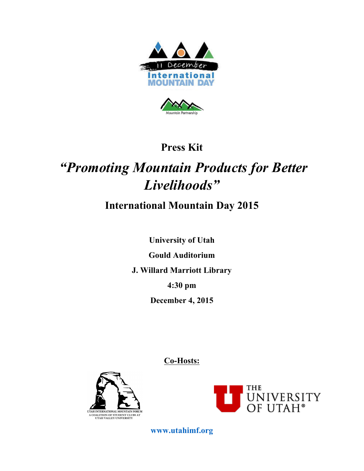



## **Press Kit**

# *"Promoting Mountain Products for Better Livelihoods"*

## **International Mountain Day 2015**

**University of Utah Gould Auditorium J. Willard Marriott Library 4:30 pm December 4, 2015**

**Co-Hosts:**





**www.utahimf.org**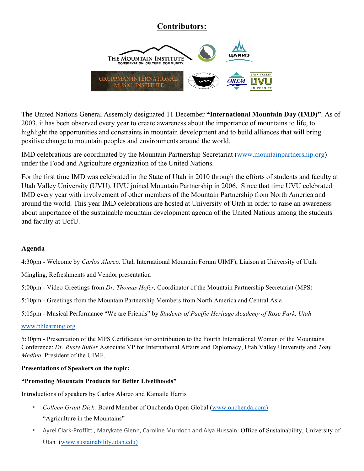### **Contributors:**



The United Nations General Assembly designated 11 December **"International Mountain Day (IMD)"**. As of 2003, it has been observed every year to create awareness about the importance of mountains to life, to highlight the opportunities and constraints in mountain development and to build alliances that will bring positive change to mountain peoples and environments around the world.

IMD celebrations are coordinated by the Mountain Partnership Secretariat (www.mountainpartnership.org) under the Food and Agriculture organization of the United Nations.

For the first time IMD was celebrated in the State of Utah in 2010 through the efforts of students and faculty at Utah Valley University (UVU). UVU joined Mountain Partnership in 2006. Since that time UVU celebrated IMD every year with involvement of other members of the Mountain Partnership from North America and around the world. This year IMD celebrations are hosted at University of Utah in order to raise an awareness about importance of the sustainable mountain development agenda of the United Nations among the students and faculty at UofU.

#### **Agenda**

4:30pm - Welcome by *Carlos Alarco,* Utah International Mountain Forum UIMF), Liaison at University of Utah.

Mingling, Refreshments and Vendor presentation

5:00pm - Video Greetings from *Dr. Thomas Hofer,* Coordinator of the Mountain Partnership Secretariat (MPS)

5:10pm - Greetings from the Mountain Partnership Members from North America and Central Asia

5:15pm - Musical Performance "We are Friends" by *Students of Pacific Heritage Academy of Rose Park, Utah*

#### www.phlearning.org

5:30pm - Presentation of the MPS Certificates for contribution to the Fourth International Women of the Mountains Conference: *Dr. Rusty Butler* Associate VP for International Affairs and Diplomacy, Utah Valley University and *Tony Medina,* President of the UIMF.

#### **Presentations of Speakers on the topic:**

#### **"Promoting Mountain Products for Better Livelihoods"**

Introductions of speakers by Carlos Alarco and Kamaile Harris

- *Colleen Grant Dick;* Board Member of Onchenda Open Global (www.onchenda.com) "Agriculture in the Mountains"
- Ayrel Clark-Proffitt, Marykate Glenn, Caroline Murdoch and Alya Hussain: Office of Sustainability, University of Utah (www.sustainability.utah.edu)